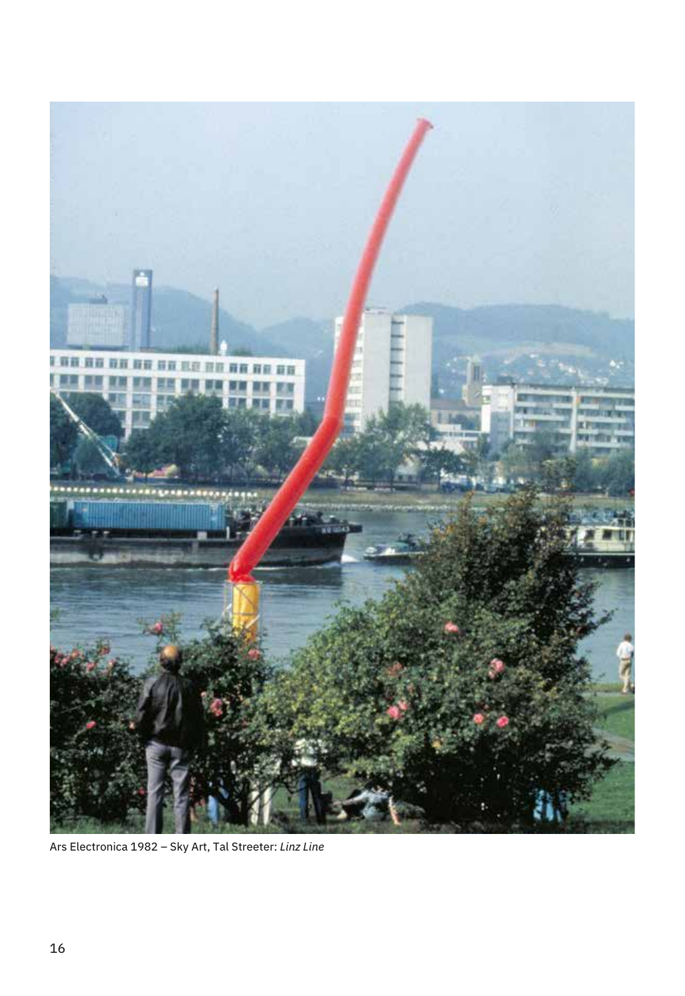

Ars Electronica 1982 – Sky Art, Tal Streeter: *Linz Line*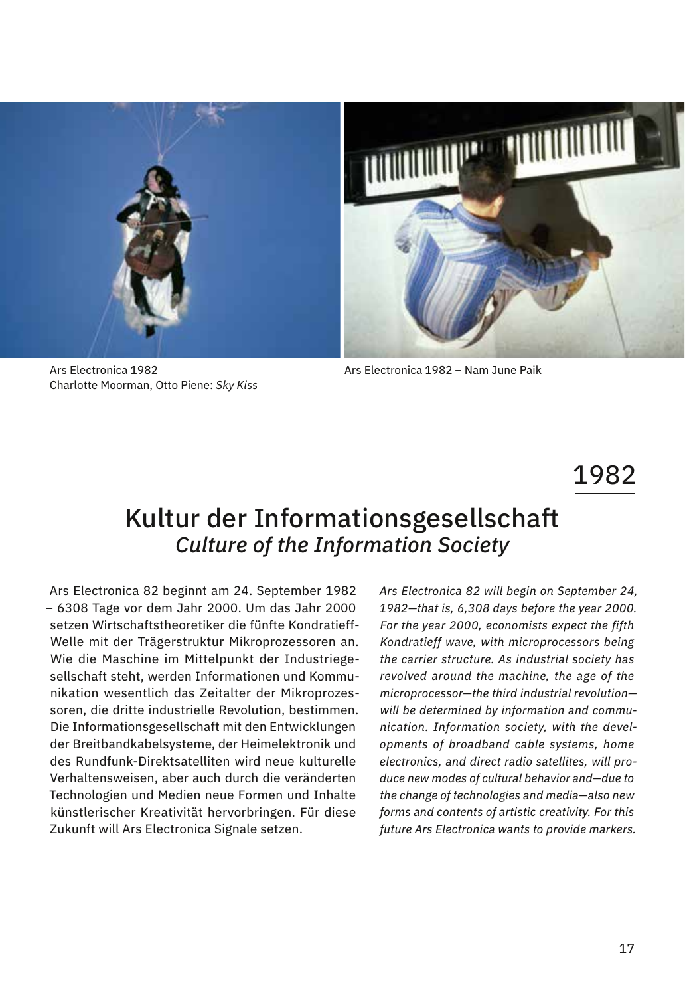

Ars Electronica 1982 Charlotte Moorman, Otto Piene: *Sky Kiss*

Ars Electronica 1982 – Nam June Paik

## 1982

## Kultur der Informationsgesellschaft *Culture of the Information Society*

Ars Electronica 82 beginnt am 24. September 1982 – 6308 Tage vor dem Jahr 2000. Um das Jahr 2000 setzen Wirtschaftstheoretiker die fünfte Kondratieff-Welle mit der Trägerstruktur Mikroprozessoren an. Wie die Maschine im Mittelpunkt der Industriegesellschaft steht, werden Informationen und Kommunikation wesentlich das Zeitalter der Mikroprozessoren, die dritte industrielle Revolution, bestimmen. Die Informationsgesellschaft mit den Entwicklungen der Breitbandkabelsysteme, der Heimelektronik und des Rundfunk-Direktsatelliten wird neue kulturelle Verhaltensweisen, aber auch durch die veränderten Technologien und Medien neue Formen und Inhalte künstlerischer Kreativität hervorbringen. Für diese Zukunft will Ars Electronica Signale setzen.

*Ars Electronica 82 will begin on September 24, 1982—that is, 6,308 days before the year 2000. For the year 2000, economists expect the fifth Kondratieff wave, with microprocessors being the carrier structure. As industrial society has revolved around the machine, the age of the microprocessor—the third industrial revolution will be determined by information and communication. Information society, with the developments of broadband cable systems, home electronics, and direct radio satellites, will produce new modes of cultural behavior and—due to the change of technologies and media—also new forms and contents of artistic creativity. For this future Ars Electronica wants to provide markers.*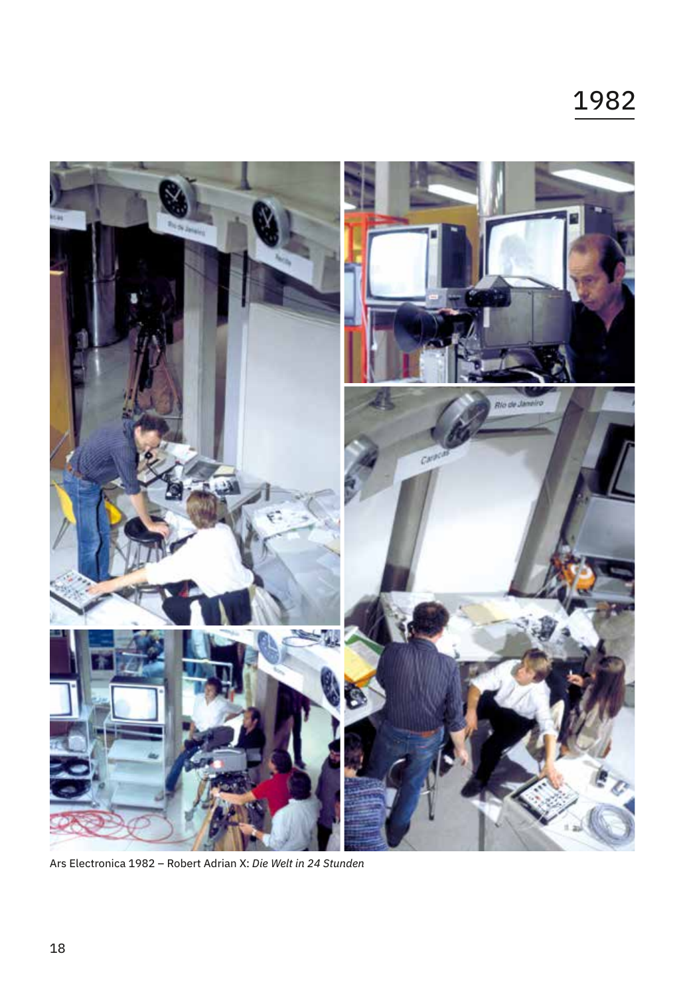

Ars Electronica 1982 – Robert Adrian X: *Die Welt in 24 Stunden*